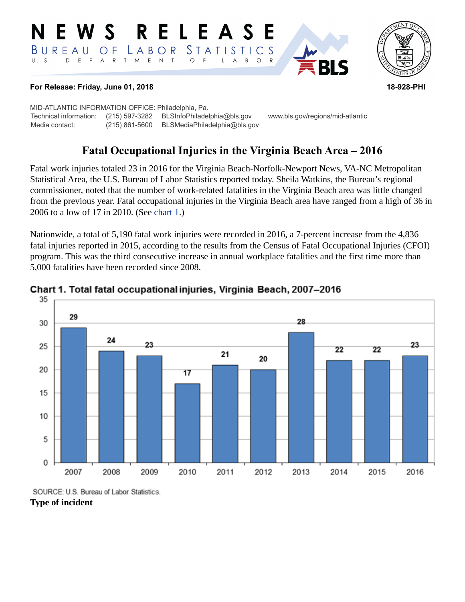#### RELEASE N E W S *STATISTICS* LABOR BUREAU O F D E P A R T M E N T  $\circ$  $U. S.$  $\overline{F}$ L  $\overline{A}$  $B$  $\circ$  $\mathsf{R}$



#### **For Release: Friday, June 01, 2018 18-928-PHI**

MID-ATLANTIC INFORMATION OFFICE: Philadelphia, Pa. Technical information: (215) 597-3282 BLSInfoPhiladelphia@bls.gov www.bls.gov/regions/mid-atlantic Media contact: (215) 861-5600 BLSMediaPhiladelphia@bls.gov

**RI S** 

# **Fatal Occupational Injuries in the Virginia Beach Area – 2016**

Fatal work injuries totaled 23 in 2016 for the Virginia Beach-Norfolk-Newport News, VA-NC Metropolitan Statistical Area, the U.S. Bureau of Labor Statistics reported today. Sheila Watkins, the Bureau's regional commissioner, noted that the number of work-related fatalities in the Virginia Beach area was little changed from the previous year. Fatal occupational injuries in the Virginia Beach area have ranged from a high of 36 in 2006 to a low of 17 in 2010. (See [chart 1.](#page-0-0))

Nationwide, a total of 5,190 fatal work injuries were recorded in 2016, a 7-percent increase from the 4,836 fatal injuries reported in 2015, according to the results from the Census of Fatal Occupational Injuries (CFOI) program. This was the third consecutive increase in annual workplace fatalities and the first time more than 5,000 fatalities have been recorded since 2008.



### <span id="page-0-0"></span>Chart 1. Total fatal occupational injuries, Virginia Beach, 2007-2016

SOURCE: U.S. Bureau of Labor Statistics.

## **Type of incident**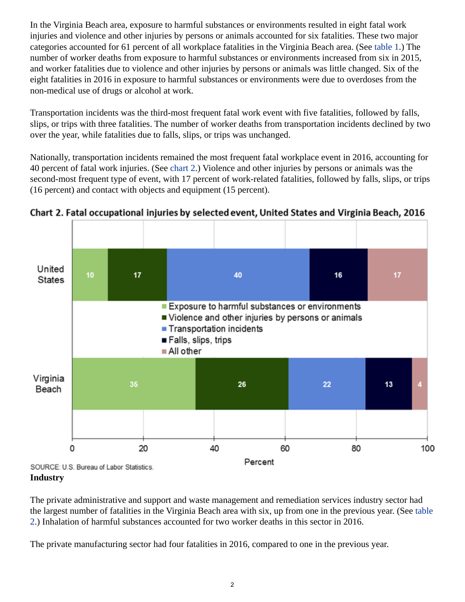In the Virginia Beach area, exposure to harmful substances or environments resulted in eight fatal work injuries and violence and other injuries by persons or animals accounted for six fatalities. These two major categories accounted for 61 percent of all workplace fatalities in the Virginia Beach area. (See table 1.) The number of worker deaths from exposure to harmful substances or environments increased from six in 2015, and worker fatalities due to violence and other injuries by persons or animals was little changed. Six of the eight fatalities in 2016 in exposure to harmful substances or environments were due to overdoses from the non-medical use of drugs or alcohol at work.

Transportation incidents was the third-most frequent fatal work event with five fatalities, followed by falls, slips, or trips with three fatalities. The number of worker deaths from transportation incidents declined by two over the year, while fatalities due to falls, slips, or trips was unchanged.

Nationally, transportation incidents remained the most frequent fatal workplace event in 2016, accounting for 40 percent of fatal work injuries. (See [chart 2](#page-1-0).) Violence and other injuries by persons or animals was the second-most frequent type of event, with 17 percent of work-related fatalities, followed by falls, slips, or trips (16 percent) and contact with objects and equipment (15 percent).



<span id="page-1-0"></span>Chart 2. Fatal occupational injuries by selected event, United States and Virginia Beach, 2016

**Industry**

The private administrative and support and waste management and remediation services industry sector had the largest number of fatalities in the Virginia Beach area with six, up from one in the previous year. (See table 2.) Inhalation of harmful substances accounted for two worker deaths in this sector in 2016.

The private manufacturing sector had four fatalities in 2016, compared to one in the previous year.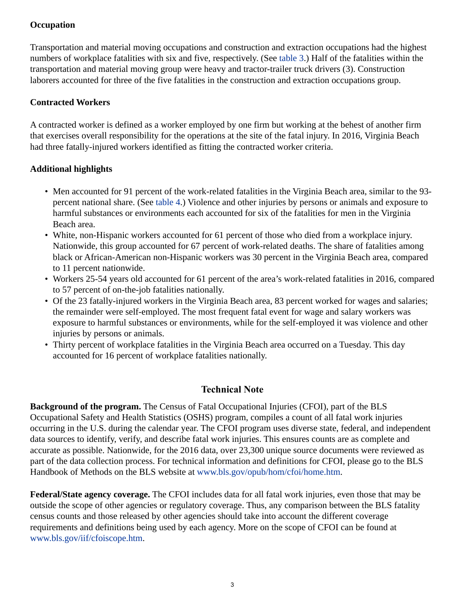## **Occupation**

Transportation and material moving occupations and construction and extraction occupations had the highest numbers of workplace fatalities with six and five, respectively. (See table 3.) Half of the fatalities within the transportation and material moving group were heavy and tractor-trailer truck drivers (3). Construction laborers accounted for three of the five fatalities in the construction and extraction occupations group.

## **Contracted Workers**

A contracted worker is defined as a worker employed by one firm but working at the behest of another firm that exercises overall responsibility for the operations at the site of the fatal injury. In 2016, Virginia Beach had three fatally-injured workers identified as fitting the contracted worker criteria.

## **Additional highlights**

- Men accounted for 91 percent of the work-related fatalities in the Virginia Beach area, similar to the 93 percent national share. (See table 4.) Violence and other injuries by persons or animals and exposure to harmful substances or environments each accounted for six of the fatalities for men in the Virginia Beach area.
- White, non-Hispanic workers accounted for 61 percent of those who died from a workplace injury. Nationwide, this group accounted for 67 percent of work-related deaths. The share of fatalities among black or African-American non-Hispanic workers was 30 percent in the Virginia Beach area, compared to 11 percent nationwide.
- Workers 25-54 years old accounted for 61 percent of the area's work-related fatalities in 2016, compared to 57 percent of on-the-job fatalities nationally.
- Of the 23 fatally-injured workers in the Virginia Beach area, 83 percent worked for wages and salaries; the remainder were self-employed. The most frequent fatal event for wage and salary workers was exposure to harmful substances or environments, while for the self-employed it was violence and other injuries by persons or animals.
- Thirty percent of workplace fatalities in the Virginia Beach area occurred on a Tuesday. This day accounted for 16 percent of workplace fatalities nationally.

## **Technical Note**

**Background of the program.** The Census of Fatal Occupational Injuries (CFOI), part of the BLS Occupational Safety and Health Statistics (OSHS) program, compiles a count of all fatal work injuries occurring in the U.S. during the calendar year. The CFOI program uses diverse state, federal, and independent data sources to identify, verify, and describe fatal work injuries. This ensures counts are as complete and accurate as possible. Nationwide, for the 2016 data, over 23,300 unique source documents were reviewed as part of the data collection process. For technical information and definitions for CFOI, please go to the BLS Handbook of Methods on the BLS website at [www.bls.gov/opub/hom/cfoi/home.htm](https://www.bls.gov/opub/hom/cfoi/home.htm).

**Federal/State agency coverage.** The CFOI includes data for all fatal work injuries, even those that may be outside the scope of other agencies or regulatory coverage. Thus, any comparison between the BLS fatality census counts and those released by other agencies should take into account the different coverage requirements and definitions being used by each agency. More on the scope of CFOI can be found at [www.bls.gov/iif/cfoiscope.htm.](https://www.bls.gov/iif/cfoiscope.htm)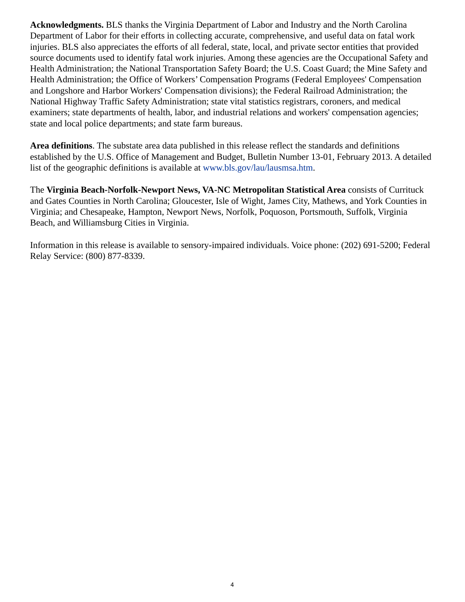**Acknowledgments.** BLS thanks the Virginia Department of Labor and Industry and the North Carolina Department of Labor for their efforts in collecting accurate, comprehensive, and useful data on fatal work injuries. BLS also appreciates the efforts of all federal, state, local, and private sector entities that provided source documents used to identify fatal work injuries. Among these agencies are the Occupational Safety and Health Administration; the National Transportation Safety Board; the U.S. Coast Guard; the Mine Safety and Health Administration; the Office of Workers' Compensation Programs (Federal Employees' Compensation and Longshore and Harbor Workers' Compensation divisions); the Federal Railroad Administration; the National Highway Traffic Safety Administration; state vital statistics registrars, coroners, and medical examiners; state departments of health, labor, and industrial relations and workers' compensation agencies; state and local police departments; and state farm bureaus.

**Area definitions**. The substate area data published in this release reflect the standards and definitions established by the U.S. Office of Management and Budget, Bulletin Number 13-01, February 2013. A detailed list of the geographic definitions is available at [www.bls.gov/lau/lausmsa.htm](https://www.bls.gov/lau/lausmsa.htm).

The **Virginia Beach-Norfolk-Newport News, VA-NC Metropolitan Statistical Area** consists of Currituck and Gates Counties in North Carolina; Gloucester, Isle of Wight, James City, Mathews, and York Counties in Virginia; and Chesapeake, Hampton, Newport News, Norfolk, Poquoson, Portsmouth, Suffolk, Virginia Beach, and Williamsburg Cities in Virginia.

Information in this release is available to sensory-impaired individuals. Voice phone: (202) 691-5200; Federal Relay Service: (800) 877-8339.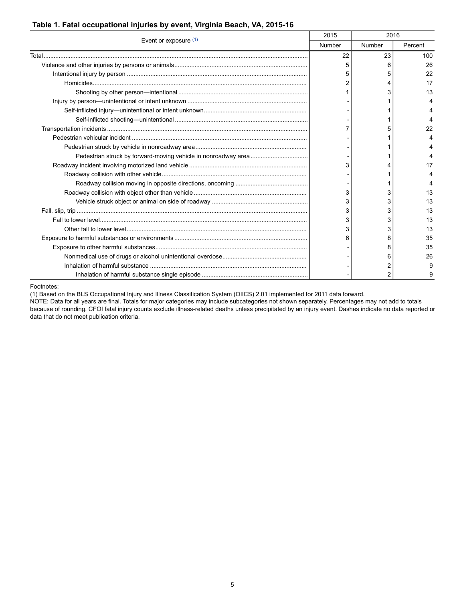|  |  | Table 1. Fatal occupational injuries by event, Virginia Beach, VA, 2015-16 |  |  |  |  |  |
|--|--|----------------------------------------------------------------------------|--|--|--|--|--|
|--|--|----------------------------------------------------------------------------|--|--|--|--|--|

| Event or exposure (1) | 2015   | 2016   |         |
|-----------------------|--------|--------|---------|
|                       | Number | Number | Percent |
|                       | 22     | 23     | 100     |
|                       | 5      | 6      | 26      |
|                       |        | 5      | 22      |
|                       |        | 4      | 17      |
|                       |        | 3      | 13      |
|                       |        |        |         |
|                       |        |        |         |
|                       |        |        |         |
|                       |        |        | 22      |
|                       |        |        |         |
|                       |        |        |         |
|                       |        |        |         |
|                       |        |        | 17      |
|                       |        |        |         |
|                       |        |        |         |
|                       | 3      | 3      | 13      |
|                       | 3      | 3      | 13      |
|                       | 3      | 3      | 13      |
|                       | 3      | 3      | 13      |
|                       | 3      | 3      | 13      |
|                       |        | 8      | 35      |
|                       |        | 8      | 35      |
|                       |        | 6      | 26      |
|                       |        | 2      | 9       |
|                       |        | 2      |         |

<span id="page-4-0"></span>Footnotes:

(1) Based on the BLS Occupational Injury and Illness Classification System (OIICS) 2.01 implemented for 2011 data forward.

NOTE: Data for all years are final. Totals for major categories may include subcategories not shown separately. Percentages may not add to totals because of rounding. CFOI fatal injury counts exclude illness-related deaths unless precipitated by an injury event. Dashes indicate no data reported or data that do not meet publication criteria.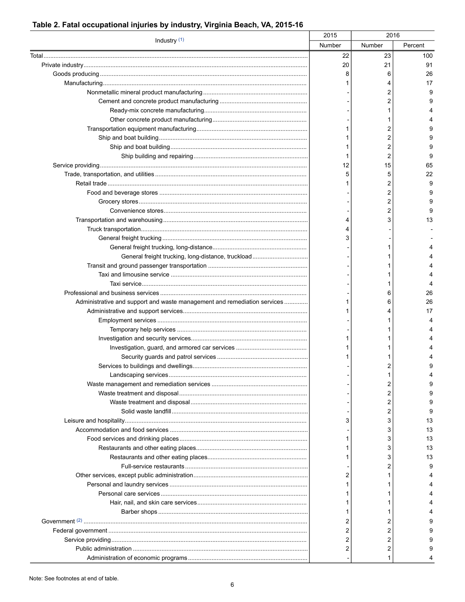|                                                                          | 2015   | 2016   |         |
|--------------------------------------------------------------------------|--------|--------|---------|
| Industry $(1)$                                                           | Number | Number | Percent |
|                                                                          | 22     | 23     | 100     |
|                                                                          | 20     | 21     | 91      |
|                                                                          |        | 6      | 26      |
|                                                                          |        |        | 17      |
|                                                                          |        | 2      | 9       |
|                                                                          |        | 2      | 9       |
|                                                                          |        |        |         |
|                                                                          |        |        |         |
|                                                                          |        | 2      | 9       |
|                                                                          |        | 2      | 9       |
|                                                                          |        | 2      | 9       |
|                                                                          |        | 2      | 9       |
|                                                                          | 12     | 15     | 65      |
|                                                                          | 5      | 5      | 22      |
|                                                                          |        | 2      | 9       |
|                                                                          |        | 2      | 9       |
|                                                                          |        | 2      | 9       |
|                                                                          |        | 2      | 9       |
|                                                                          |        | 3      | 13      |
|                                                                          |        |        |         |
|                                                                          |        |        |         |
|                                                                          |        |        |         |
| General freight trucking, long-distance, truckload                       |        |        |         |
|                                                                          |        |        |         |
|                                                                          |        |        |         |
|                                                                          |        |        |         |
|                                                                          |        | 6      | 26      |
| Administrative and support and waste management and remediation services |        | 6      | 26      |
|                                                                          |        |        | 17      |
|                                                                          |        |        |         |
|                                                                          |        |        |         |
|                                                                          |        |        |         |
|                                                                          |        |        |         |
|                                                                          |        |        |         |
|                                                                          |        | 2      | 9       |
|                                                                          |        |        |         |
|                                                                          |        | 2      |         |
|                                                                          |        | 2      |         |
|                                                                          |        | 2      | 9       |
|                                                                          |        | 2      | 9       |
|                                                                          | 3      | 3      | 13      |
|                                                                          |        | 3      | 13      |
|                                                                          |        | 3      | 13      |
|                                                                          |        | 3      | 13      |
|                                                                          |        | 3      | 13      |
|                                                                          |        | 2      | 9       |
|                                                                          | 2      |        |         |
|                                                                          |        |        |         |
|                                                                          |        |        |         |
|                                                                          |        |        |         |
|                                                                          |        |        |         |
|                                                                          | 2      | 2      |         |
|                                                                          | 2      | 2      |         |
|                                                                          | 2      | 2      |         |
|                                                                          | 2      | 2      |         |
|                                                                          |        |        |         |

#### Table 2. Fatal occupational injuries by industry, Virginia Beach, VA, 2015-16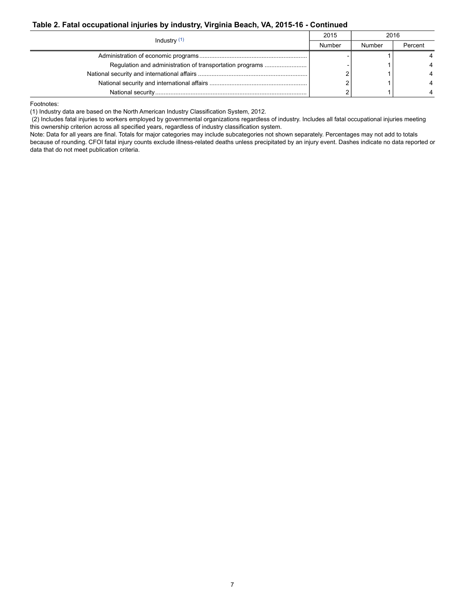#### **Table 2. Fatal occupational injuries by industry, Virginia Beach, VA, 2015-16 - Continued**

|                | 2015   | 2016   |         |
|----------------|--------|--------|---------|
| Industry $(1)$ | Number | Number | Percent |
|                |        |        |         |
|                |        |        |         |
|                |        |        |         |
|                |        |        |         |
|                |        |        |         |

<span id="page-6-0"></span>Footnotes:

(1) Industry data are based on the North American Industry Classification System, 2012.

 (2) Includes fatal injuries to workers employed by governmental organizations regardless of industry. Includes all fatal occupational injuries meeting this ownership criterion across all specified years, regardless of industry classification system.

Note: Data for all years are final. Totals for major categories may include subcategories not shown separately. Percentages may not add to totals because of rounding. CFOI fatal injury counts exclude illness-related deaths unless precipitated by an injury event. Dashes indicate no data reported or data that do not meet publication criteria.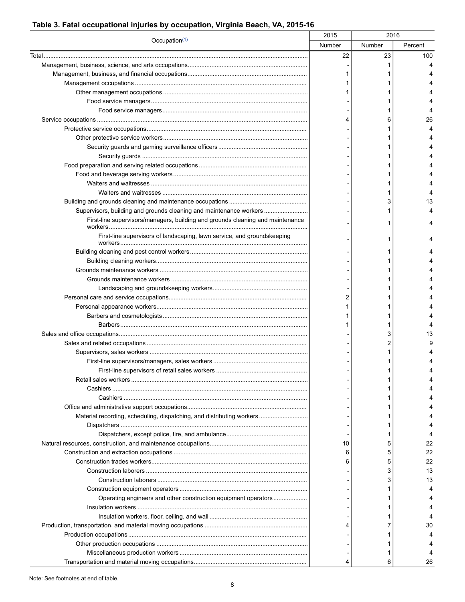## Table 3. Fatal occupational injuries by occupation, Virginia Beach, VA, 2015-16

|                                                                                | 2015   | 2016   |         |
|--------------------------------------------------------------------------------|--------|--------|---------|
| Occupation $(1)$                                                               | Number | Number | Percent |
|                                                                                | 22     | 23     | 100     |
|                                                                                |        |        |         |
|                                                                                |        |        |         |
|                                                                                |        |        |         |
|                                                                                |        |        |         |
|                                                                                |        |        |         |
|                                                                                |        |        |         |
|                                                                                |        | 6      | 26      |
|                                                                                |        |        |         |
|                                                                                |        |        |         |
|                                                                                |        |        |         |
|                                                                                |        |        |         |
|                                                                                |        |        |         |
|                                                                                |        |        |         |
|                                                                                |        |        |         |
|                                                                                |        |        |         |
|                                                                                |        |        |         |
|                                                                                |        |        | 13      |
| Supervisors, building and grounds cleaning and maintenance workers             |        |        |         |
| First-line supervisors/managers, building and grounds cleaning and maintenance |        |        |         |
| First-line supervisors of landscaping, lawn service, and groundskeeping        |        |        |         |
|                                                                                |        |        |         |
|                                                                                |        |        |         |
|                                                                                |        |        |         |
|                                                                                |        |        |         |
|                                                                                |        |        |         |
|                                                                                |        |        |         |
|                                                                                |        |        |         |
|                                                                                |        |        |         |
|                                                                                |        |        |         |
|                                                                                |        | 3      | 13      |
|                                                                                |        |        |         |
|                                                                                |        |        |         |
|                                                                                |        |        |         |
| First-line supervisors of retail sales workers                                 |        |        |         |
|                                                                                |        |        |         |
|                                                                                |        |        |         |
|                                                                                |        |        |         |
|                                                                                |        |        |         |
|                                                                                |        |        |         |
| Material recording, scheduling, dispatching, and distributing workers          |        |        |         |
|                                                                                |        |        |         |
|                                                                                |        | 1      |         |
|                                                                                | 10     | 5      | 22      |
|                                                                                | 6      | 5      | 22      |
|                                                                                |        | 5      | 22      |
|                                                                                |        | 3      | 13      |
|                                                                                |        | 3      | 13      |
|                                                                                |        |        |         |
| Operating engineers and other construction equipment operators                 |        |        |         |
|                                                                                |        |        |         |
|                                                                                |        |        |         |
|                                                                                |        |        | 30      |
|                                                                                |        |        |         |
|                                                                                |        |        |         |
|                                                                                |        |        |         |
|                                                                                |        |        | 26      |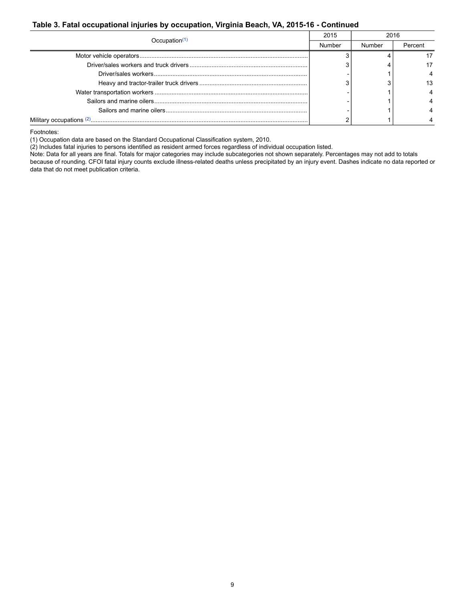#### **Table 3. Fatal occupational injuries by occupation, Virginia Beach, VA, 2015-16 - Continued**

|                           | 2015 |        | 2016    |  |
|---------------------------|------|--------|---------|--|
| Occupation <sup>(1)</sup> |      | Number | Percent |  |
|                           |      |        |         |  |
|                           |      |        |         |  |
|                           |      |        |         |  |
|                           |      |        |         |  |
|                           |      |        |         |  |
|                           |      |        |         |  |
|                           |      |        |         |  |
|                           |      |        |         |  |

<span id="page-8-0"></span>Footnotes:

(1) Occupation data are based on the Standard Occupational Classification system, 2010.

<span id="page-8-1"></span>(2) Includes fatal injuries to persons identified as resident armed forces regardless of individual occupation listed.

Note: Data for all years are final. Totals for major categories may include subcategories not shown separately. Percentages may not add to totals because of rounding. CFOI fatal injury counts exclude illness-related deaths unless precipitated by an injury event. Dashes indicate no data reported or data that do not meet publication criteria.